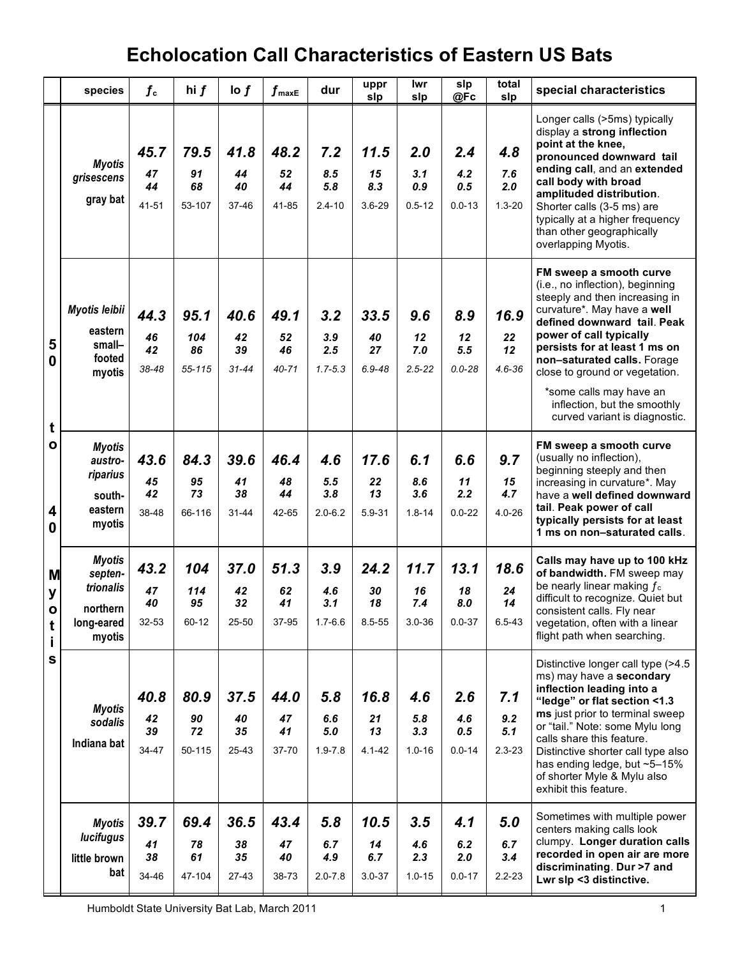|                                                  | species                                                                   | $f_{\rm c}$               | hi f                        | $\log f$                      | $\boldsymbol{f}$ maxE         | dur                              | uppr<br>slp                     | lwr<br>slp                      | slp<br>@Fc                      | total<br>slp                    | special characteristics                                                                                                                                                                                                                                                                                                                                                              |
|--------------------------------------------------|---------------------------------------------------------------------------|---------------------------|-----------------------------|-------------------------------|-------------------------------|----------------------------------|---------------------------------|---------------------------------|---------------------------------|---------------------------------|--------------------------------------------------------------------------------------------------------------------------------------------------------------------------------------------------------------------------------------------------------------------------------------------------------------------------------------------------------------------------------------|
|                                                  | <b>Myotis</b><br>grisescens<br>gray bat                                   | 45.7<br>47<br>44<br>41-51 | 79.5<br>91<br>68<br>53-107  | 41.8<br>44<br>40<br>37-46     | 48.2<br>52<br>44<br>41-85     | 7.2<br>8.5<br>5.8<br>$2.4 - 10$  | 11.5<br>15<br>8.3<br>$3.6 - 29$ | 2.0<br>3.1<br>0.9<br>$0.5 - 12$ | 2.4<br>4.2<br>0.5<br>$0.0 - 13$ | 4.8<br>7.6<br>2.0<br>$1.3 - 20$ | Longer calls (>5ms) typically<br>display a strong inflection<br>point at the knee,<br>pronounced downward tail<br>ending call, and an extended<br>call body with broad<br>amplituded distribution.<br>Shorter calls (3-5 ms) are<br>typically at a higher frequency<br>than other geographically<br>overlapping Myotis.                                                              |
| 5<br>$\mathbf 0$<br>t                            | Myotis leibii<br>eastern<br>small-<br>footed<br>myotis                    | 44.3<br>46<br>42<br>38-48 | 95.1<br>104<br>86<br>55-115 | 40.6<br>42<br>39<br>$31 - 44$ | 49.1<br>52<br>46<br>$40 - 71$ | 3.2<br>3.9<br>2.5<br>$1.7 - 5.3$ | 33.5<br>40<br>27<br>$6.9 - 48$  | 9.6<br>12<br>7.0<br>$2.5 - 22$  | 8.9<br>12<br>5.5<br>$0.0 - 28$  | 16.9<br>22<br>12<br>$4.6 - 36$  | FM sweep a smooth curve<br>(i.e., no inflection), beginning<br>steeply and then increasing in<br>curvature*. May have a well<br>defined downward tail. Peak<br>power of call typically<br>persists for at least 1 ms on<br>non-saturated calls. Forage<br>close to ground or vegetation.<br>*some calls may have an<br>inflection, but the smoothly<br>curved variant is diagnostic. |
| $\mathbf{o}$<br>4<br>0                           | <b>Myotis</b><br>austro-<br>riparius<br>south-<br>eastern<br>myotis       | 43.6<br>45<br>42<br>38-48 | 84.3<br>95<br>73<br>66-116  | 39.6<br>41<br>38<br>$31 - 44$ | 46.4<br>48<br>44<br>42-65     | 4.6<br>5.5<br>3.8<br>$2.0 - 6.2$ | 17.6<br>22<br>13<br>5.9-31      | 6.1<br>8.6<br>3.6<br>$1.8 - 14$ | 6.6<br>11<br>2.2<br>$0.0 - 22$  | 9.7<br>15<br>4.7<br>$4.0 - 26$  | FM sweep a smooth curve<br>(usually no inflection),<br>beginning steeply and then<br>increasing in curvature*. May<br>have a well defined downward<br>tail. Peak power of call<br>typically persists for at least<br>1 ms on non-saturated calls.                                                                                                                                    |
| M<br>У<br>$\mathbf{o}$<br>t<br>j,<br>$\mathbf s$ | <b>Myotis</b><br>septen-<br>trionalis<br>northern<br>long-eared<br>myotis | 43.2<br>47<br>40<br>32-53 | 104<br>114<br>95<br>60-12   | 37.0<br>42<br>32<br>25-50     | 51.3<br>62<br>41<br>37-95     | 3.9<br>4.6<br>3.1<br>$1.7 - 6.6$ | 24.2<br>30<br>18<br>8.5-55      | 11.7<br>16<br>7.4<br>3.0-36     | 13.1<br>18<br>8.0<br>$0.0 - 37$ | 18.6<br>24<br>14<br>6.5-43      | Calls may have up to 100 kHz<br>of bandwidth. FM sweep may<br>be nearly linear making $f_c$<br>difficult to recognize. Quiet but<br>consistent calls. Fly near<br>vegetation, often with a linear<br>flight path when searching.                                                                                                                                                     |
|                                                  | <b>Myotis</b><br>sodalis<br>Indiana bat                                   | 40.8<br>42<br>39<br>34-47 | 80.9<br>90<br>72<br>50-115  | 37.5<br>40<br>35<br>25-43     | 44.0<br>47<br>41<br>37-70     | 5.8<br>6.6<br>5.0<br>$1.9 - 7.8$ | 16.8<br>21<br>13<br>$4.1 - 42$  | 4.6<br>5.8<br>3.3<br>$1.0 - 16$ | 2.6<br>4.6<br>0.5<br>$0.0 - 14$ | 7.1<br>9.2<br>5.1<br>$2.3 - 23$ | Distinctive longer call type (>4.5<br>ms) may have a secondary<br>inflection leading into a<br>"ledge" or flat section <1.3<br>ms just prior to terminal sweep<br>or "tail." Note: some Mylu long<br>calls share this feature.<br>Distinctive shorter call type also<br>has ending ledge, but ~5-15%<br>of shorter Myle & Mylu also<br>exhibit this feature.                         |
|                                                  | <b>Myotis</b><br>lucifugus<br>little brown<br>bat                         | 39.7<br>41<br>38<br>34-46 | 69.4<br>78<br>61<br>47-104  | 36.5<br>38<br>35<br>$27-43$   | 43.4<br>47<br>40<br>38-73     | 5.8<br>6.7<br>4.9<br>$2.0 - 7.8$ | 10.5<br>14<br>6.7<br>$3.0 - 37$ | 3.5<br>4.6<br>2.3<br>$1.0 - 15$ | 4.1<br>6.2<br>2.0<br>$0.0 - 17$ | 5.0<br>6.7<br>3.4<br>$2.2 - 23$ | Sometimes with multiple power<br>centers making calls look<br>clumpy. Longer duration calls<br>recorded in open air are more<br>discriminating. Dur >7 and<br>Lwr slp <3 distinctive.                                                                                                                                                                                                |

Humboldt State University Bat Lab, March 2011 1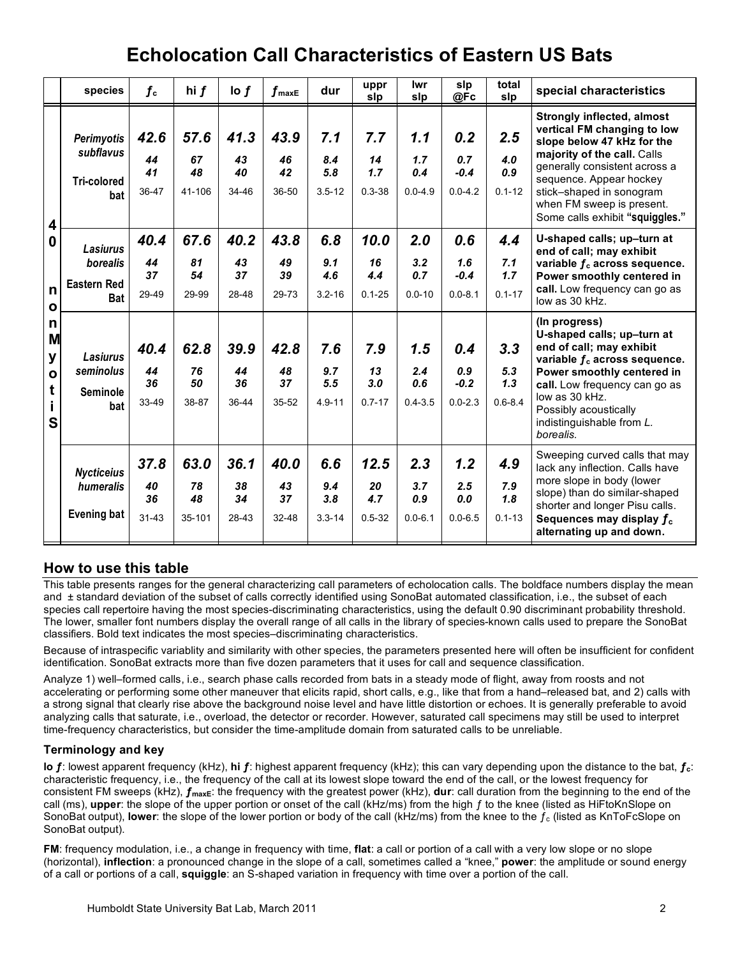|                                                                            | species                                                         | $f_{\rm c}$                   | hi $f$                     | $\log f$                  | $f_{\sf maxE}$                | dur                             | uppr<br>slp                     | lwr<br>slp                       | slp<br>@Fc                          | total<br>slp                     | special characteristics                                                                                                                                                                                                                                                               |
|----------------------------------------------------------------------------|-----------------------------------------------------------------|-------------------------------|----------------------------|---------------------------|-------------------------------|---------------------------------|---------------------------------|----------------------------------|-------------------------------------|----------------------------------|---------------------------------------------------------------------------------------------------------------------------------------------------------------------------------------------------------------------------------------------------------------------------------------|
| 4<br>0<br>n<br>$\mathbf{o}$<br>n<br>M<br>у<br>$\mathbf{o}$<br>t<br>j.<br>S | Perimyotis<br>subflavus<br><b>Tri-colored</b><br>bat            | 42.6<br>44<br>41<br>36-47     | 57.6<br>67<br>48<br>41-106 | 41.3<br>43<br>40<br>34-46 | 43.9<br>46<br>42<br>36-50     | 7.1<br>8.4<br>5.8<br>$3.5 - 12$ | 7.7<br>14<br>1.7<br>$0.3 - 38$  | 1.1<br>1.7<br>0.4<br>$0.0 - 4.9$ | 0.2<br>0.7<br>$-0.4$<br>$0.0 - 4.2$ | 2.5<br>4.0<br>0.9<br>$0.1 - 12$  | <b>Strongly inflected, almost</b><br>vertical FM changing to low<br>slope below 47 kHz for the<br>majority of the call. Calls<br>generally consistent across a<br>sequence. Appear hockey<br>stick-shaped in sonogram<br>when FM sweep is present.<br>Some calls exhibit "squiggles." |
|                                                                            | <b>Lasiurus</b><br>borealis<br><b>Eastern Red</b><br><b>Bat</b> | 40.4<br>44<br>37<br>29-49     | 67.6<br>81<br>54<br>29-99  | 40.2<br>43<br>37<br>28-48 | 43.8<br>49<br>39<br>29-73     | 6.8<br>9.1<br>4.6<br>$3.2 - 16$ | 10.0<br>16<br>4.4<br>$0.1 - 25$ | 2.0<br>3.2<br>0.7<br>$0.0 - 10$  | 0.6<br>1.6<br>$-0.4$<br>$0.0 - 8.1$ | 4.4<br>7.1<br>1.7<br>$0.1 - 17$  | U-shaped calls; up-turn at<br>end of call; may exhibit<br>variable $f_c$ across sequence.<br>Power smoothly centered in<br>call. Low frequency can go as<br>low as 30 kHz.                                                                                                            |
|                                                                            | <b>Lasiurus</b><br>seminolus<br><b>Seminole</b><br>bat          | 40.4<br>44<br>36<br>33-49     | 62.8<br>76<br>50<br>38-87  | 39.9<br>44<br>36<br>36-44 | 42.8<br>48<br>37<br>$35 - 52$ | 7.6<br>9.7<br>5.5<br>$4.9 - 11$ | 7.9<br>13<br>3.0<br>$0.7 - 17$  | 1.5<br>2.4<br>0.6<br>$0.4 - 3.5$ | 0.4<br>0.9<br>$-0.2$<br>$0.0 - 2.3$ | 3.3<br>5.3<br>1.3<br>$0.6 - 8.4$ | (In progress)<br>U-shaped calls; up-turn at<br>end of call; may exhibit<br>variable $f_c$ across sequence.<br>Power smoothly centered in<br>call. Low frequency can go as<br>low as 30 kHz.<br>Possibly acoustically<br>indistinguishable from L.<br>borealis.                        |
|                                                                            | <b>Nycticeius</b><br>humeralis<br><b>Evening bat</b>            | 37.8<br>40<br>36<br>$31 - 43$ | 63.0<br>78<br>48<br>35-101 | 36.1<br>38<br>34<br>28-43 | 40.0<br>43<br>37<br>32-48     | 6.6<br>9.4<br>3.8<br>$3.3 - 14$ | 12.5<br>20<br>4.7<br>$0.5 - 32$ | 2.3<br>3.7<br>0.9<br>$0.0 - 6.1$ | 1.2<br>2.5<br>0.0<br>$0.0 - 6.5$    | 4.9<br>7.9<br>1.8<br>$0.1 - 13$  | Sweeping curved calls that may<br>lack any inflection. Calls have<br>more slope in body (lower<br>slope) than do similar-shaped<br>shorter and longer Pisu calls.<br>Sequences may display $f_c$<br>alternating up and down.                                                          |

### **How to use this table**

This table presents ranges for the general characterizing call parameters of echolocation calls. The boldface numbers display the mean and ± standard deviation of the subset of calls correctly identified using SonoBat automated classification, i.e., the subset of each species call repertoire having the most species-discriminating characteristics, using the default 0.90 discriminant probability threshold. The lower, smaller font numbers display the overall range of all calls in the library of species-known calls used to prepare the SonoBat classifiers. Bold text indicates the most species–discriminating characteristics.

Because of intraspecific variablity and similarity with other species, the parameters presented here will often be insufficient for confident identification. SonoBat extracts more than five dozen parameters that it uses for call and sequence classification.

Analyze 1) well–formed calls, i.e., search phase calls recorded from bats in a steady mode of flight, away from roosts and not accelerating or performing some other maneuver that elicits rapid, short calls, e.g., like that from a hand–released bat, and 2) calls with a strong signal that clearly rise above the background noise level and have little distortion or echoes. It is generally preferable to avoid analyzing calls that saturate, i.e., overload, the detector or recorder. However, saturated call specimens may still be used to interpret time-frequency characteristics, but consider the time-amplitude domain from saturated calls to be unreliable.

#### **Terminology and key**

**lo ƒ**: lowest apparent frequency (kHz), **hi ƒ**: highest apparent frequency (kHz); this can vary depending upon the distance to the bat, **ƒc**: characteristic frequency, i.e., the frequency of the call at its lowest slope toward the end of the call, or the lowest frequency for consistent FM sweeps (kHz),  $f_{\text{maxE}}$ : the frequency with the greatest power (kHz), **dur**: call duration from the beginning to the end of the call (ms), **upper**: the slope of the upper portion or onset of the call (kHz/ms) from the high ƒ to the knee (listed as HiFtoKnSlope on SonoBat output), **lower**: the slope of the lower portion or body of the call (kHz/ms) from the knee to the  $f_c$  (listed as KnToFcSlope on SonoBat output).

**FM**: frequency modulation, i.e., a change in frequency with time, **flat**: a call or portion of a call with a very low slope or no slope (horizontal), **inflection**: a pronounced change in the slope of a call, sometimes called a "knee," **power**: the amplitude or sound energy of a call or portions of a call, **squiggle**: an S-shaped variation in frequency with time over a portion of the call.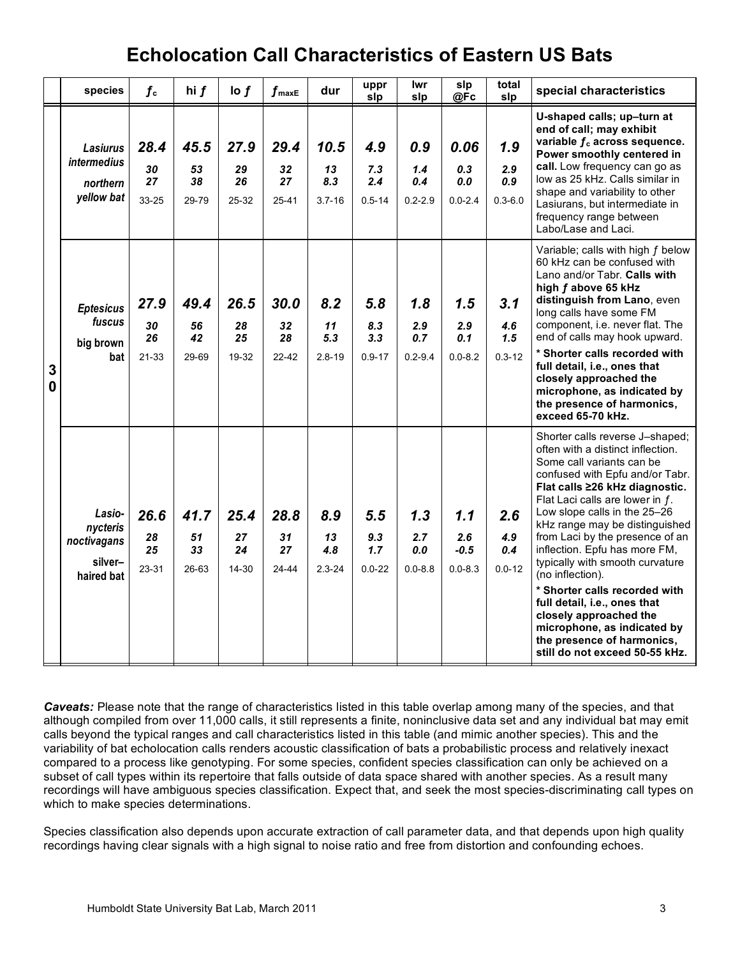|        | species                                                    | $f_{\rm c}$                   | hi $f$                        | $\log f$                  | $f_{\sf maxE}$                | dur                             | uppr<br>slp                     | lwr<br>slp                       | slp<br>@Fc                          | total<br>slp                     | special characteristics                                                                                                                                                                                                                                                                                                                                                                                                                                                                                                                                                                          |
|--------|------------------------------------------------------------|-------------------------------|-------------------------------|---------------------------|-------------------------------|---------------------------------|---------------------------------|----------------------------------|-------------------------------------|----------------------------------|--------------------------------------------------------------------------------------------------------------------------------------------------------------------------------------------------------------------------------------------------------------------------------------------------------------------------------------------------------------------------------------------------------------------------------------------------------------------------------------------------------------------------------------------------------------------------------------------------|
| 3<br>0 | <b>Lasiurus</b><br>intermedius<br>northern<br>yellow bat   | 28.4<br>30<br>27<br>33-25     | 45.5<br>53<br>38<br>29-79     | 27.9<br>29<br>26<br>25-32 | 29.4<br>32<br>27<br>$25 - 41$ | 10.5<br>13<br>8.3<br>$3.7 - 16$ | 4.9<br>7.3<br>2.4<br>$0.5 - 14$ | 0.9<br>1.4<br>0.4<br>$0.2 - 2.9$ | 0.06<br>0.3<br>0.0<br>$0.0 - 2.4$   | 1.9<br>2.9<br>0.9<br>$0.3 - 6.0$ | U-shaped calls; up-turn at<br>end of call; may exhibit<br>variable $f_c$ across sequence.<br>Power smoothly centered in<br>call. Low frequency can go as<br>low as 25 kHz. Calls similar in<br>shape and variability to other<br>Lasiurans, but intermediate in<br>frequency range between<br>Labo/Lase and Laci.                                                                                                                                                                                                                                                                                |
|        | <b>Eptesicus</b><br>fuscus<br>big brown<br>bat             | 27.9<br>30<br>26<br>$21 - 33$ | 49.4<br>56<br>42<br>29-69     | 26.5<br>28<br>25<br>19-32 | 30.0<br>32<br>28<br>$22 - 42$ | 8.2<br>11<br>5.3<br>$2.8 - 19$  | 5,8<br>8.3<br>3.3<br>$0.9 - 17$ | 1.8<br>2.9<br>0.7<br>$0.2 - 9.4$ | 1.5<br>2.9<br>0.1<br>$0.0 - 8.2$    | 3.1<br>4.6<br>1.5<br>$0.3 - 12$  | Variable; calls with high f below<br>60 kHz can be confused with<br>Lano and/or Tabr. Calls with<br>high f above 65 kHz<br>distinguish from Lano, even<br>long calls have some FM<br>component, i.e. never flat. The<br>end of calls may hook upward.<br>* Shorter calls recorded with<br>full detail, i.e., ones that<br>closely approached the<br>microphone, as indicated by<br>the presence of harmonics,<br>exceed 65-70 kHz.                                                                                                                                                               |
|        | Lasio-<br>nycteris<br>noctivagans<br>silver-<br>haired bat | 26.6<br>28<br>25<br>23-31     | 41.7<br>51<br>33<br>$26 - 63$ | 25.4<br>27<br>24<br>14-30 | 28.8<br>31<br>27<br>24-44     | 8.9<br>13<br>4.8<br>$2.3 - 24$  | 5.5<br>9.3<br>1.7<br>$0.0 - 22$ | 1.3<br>2.7<br>0.0<br>$0.0 - 8.8$ | 1.1<br>2.6<br>$-0.5$<br>$0.0 - 8.3$ | 2.6<br>4.9<br>0.4<br>$0.0 - 12$  | Shorter calls reverse J-shaped;<br>often with a distinct inflection.<br>Some call variants can be<br>confused with Epfu and/or Tabr.<br>Flat calls ≥26 kHz diagnostic.<br>Flat Laci calls are lower in f.<br>Low slope calls in the 25-26<br>kHz range may be distinguished<br>from Laci by the presence of an<br>inflection. Epfu has more FM,<br>typically with smooth curvature<br>(no inflection).<br>* Shorter calls recorded with<br>full detail, i.e., ones that<br>closely approached the<br>microphone, as indicated by<br>the presence of harmonics,<br>still do not exceed 50-55 kHz. |

*Caveats:* Please note that the range of characteristics listed in this table overlap among many of the species, and that although compiled from over 11,000 calls, it still represents a finite, noninclusive data set and any individual bat may emit calls beyond the typical ranges and call characteristics listed in this table (and mimic another species). This and the variability of bat echolocation calls renders acoustic classification of bats a probabilistic process and relatively inexact compared to a process like genotyping. For some species, confident species classification can only be achieved on a subset of call types within its repertoire that falls outside of data space shared with another species. As a result many recordings will have ambiguous species classification. Expect that, and seek the most species-discriminating call types on which to make species determinations.

Species classification also depends upon accurate extraction of call parameter data, and that depends upon high quality recordings having clear signals with a high signal to noise ratio and free from distortion and confounding echoes.